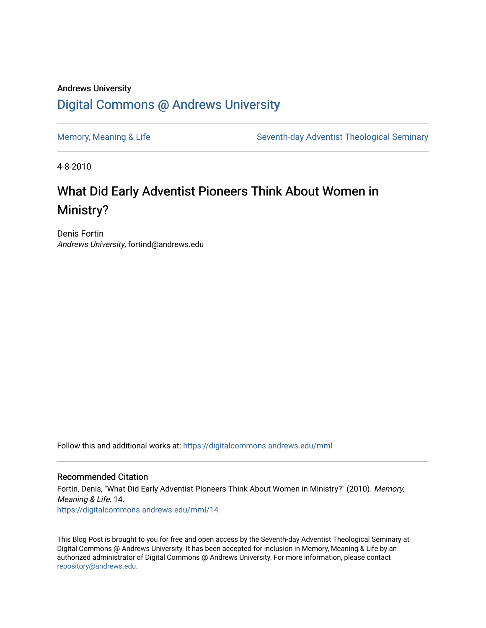## Andrews University [Digital Commons @ Andrews University](https://digitalcommons.andrews.edu/)

[Memory, Meaning & Life](https://digitalcommons.andrews.edu/mml) Seventh-day Adventist Theological Seminary

4-8-2010

## What Did Early Adventist Pioneers Think About Women in Ministry?

Denis Fortin Andrews University, fortind@andrews.edu

Follow this and additional works at: [https://digitalcommons.andrews.edu/mml](https://digitalcommons.andrews.edu/mml?utm_source=digitalcommons.andrews.edu%2Fmml%2F14&utm_medium=PDF&utm_campaign=PDFCoverPages) 

#### Recommended Citation

Fortin, Denis, "What Did Early Adventist Pioneers Think About Women in Ministry?" (2010). Memory, Meaning & Life. 14. [https://digitalcommons.andrews.edu/mml/14](https://digitalcommons.andrews.edu/mml/14?utm_source=digitalcommons.andrews.edu%2Fmml%2F14&utm_medium=PDF&utm_campaign=PDFCoverPages)

This Blog Post is brought to you for free and open access by the Seventh-day Adventist Theological Seminary at Digital Commons @ Andrews University. It has been accepted for inclusion in Memory, Meaning & Life by an authorized administrator of Digital Commons @ Andrews University. For more information, please contact [repository@andrews.edu](mailto:repository@andrews.edu).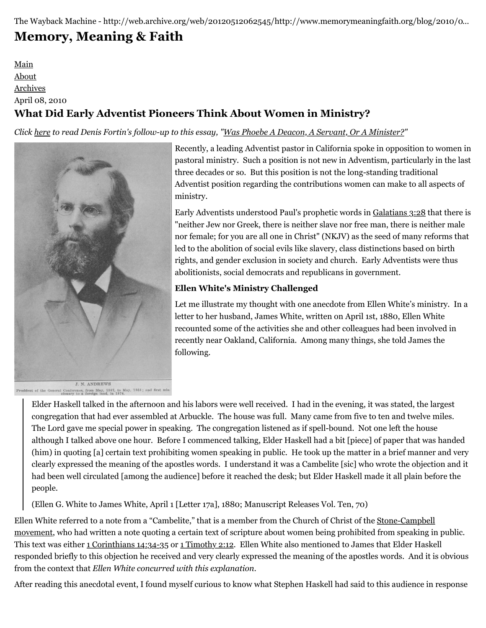# **[Memory, Meaning & Faith](http://web.archive.org/web/20120512062545/http://www.memorymeaningfaith.org/blog/)**

[Main](http://web.archive.org/web/20120512062545/http://www.memorymeaningfaith.org/blog) [About](http://web.archive.org/web/20120512062545/http://www.memorymeaningfaith.org/blog/about.html) [Archives](http://web.archive.org/web/20120512062545/http://www.memorymeaningfaith.org/blog/archives.html) April 08, 2010 **What Did Early Adventist Pioneers Think About Women in Ministry?**

*Click [here](http://web.archive.org/web/20120512062545/http://www.memorymeaningfaith.org/blog/2010/04/phoebe-deacon-servant-or-minister.html) to read Denis Fortin's follow-up to this essay, "[Was Phoebe A Deacon, A Servant, Or A Minister?](http://web.archive.org/web/20120512062545/http://www.memorymeaningfaith.org/blog/2010/04/phoebe-deacon-servant-or-minister.html)"*



Recently, a leading Adventist pastor in California spoke in opposition to women in pastoral ministry. Such a position is not new in Adventism, particularly in the last three decades or so. But this position is not the long-standing traditional Adventist position regarding the contributions women can make to all aspects of ministry.

Early Adventists understood Paul's prophetic words in [Galatians 3:28](http://web.archive.org/web/20120512062545/http://www.biblestudytools.com/nkj/galatians/3-28.html) that there is "neither Jew nor Greek, there is neither slave nor free man, there is neither male nor female; for you are all one in Christ" (NKJV) as the seed of many reforms that led to the abolition of social evils like slavery, class distinctions based on birth rights, and gender exclusion in society and church. Early Adventists were thus abolitionists, social democrats and republicans in government.

## **Ellen White's Ministry Challenged**

Let me illustrate my thought with one anecdote from Ellen White's ministry. In a letter to her husband, James White, written on April 1st, 1880, Ellen White recounted some of the activities she and other colleagues had been involved in recently near Oakland, California. Among many things, she told James the following.

President of the General Conference, from May, 1867, to May, 1868; and first mis-<br>sionary to a foreign land, in 1874.

Elder Haskell talked in the afternoon and his labors were well received. I had in the evening, it was stated, the largest congregation that had ever assembled at Arbuckle. The house was full. Many came from five to ten and twelve miles. The Lord gave me special power in speaking. The congregation listened as if spell-bound. Not one left the house although I talked above one hour. Before I commenced talking, Elder Haskell had a bit [piece] of paper that was handed (him) in quoting [a] certain text prohibiting women speaking in public. He took up the matter in a brief manner and very clearly expressed the meaning of the apostles words. I understand it was a Cambelite [sic] who wrote the objection and it had been well circulated [among the audience] before it reached the desk; but Elder Haskell made it all plain before the people.

(Ellen G. White to James White, April 1 [Letter 17a], 1880; Manuscript Releases Vol. Ten, 70)

[Ellen White referred to a note from a "Cambelite," that is a member from the Church of Christ of the Stone-Campbell](http://web.archive.org/web/20120512062545/http://en.wikipedia.org/wiki/Restoration_Movement) movement, who had written a note quoting a certain text of scripture about women being prohibited from speaking in public. This text was either [1 Corinthians 14:34-35](http://web.archive.org/web/20120512062545/http://www.biblestudytools.com/nkj/1-corinthians/passage.aspx?q=1%20Corinthians+14:34-35) or [1 Timothy 2:12](http://web.archive.org/web/20120512062545/http://www.biblestudytools.com/nkj/1-timothy/2-12.html). Ellen White also mentioned to James that Elder Haskell responded briefly to this objection he received and very clearly expressed the meaning of the apostles words. And it is obvious from the context that *Ellen White concurred with this explanation*.

After reading this anecdotal event, I found myself curious to know what Stephen Haskell had said to this audience in response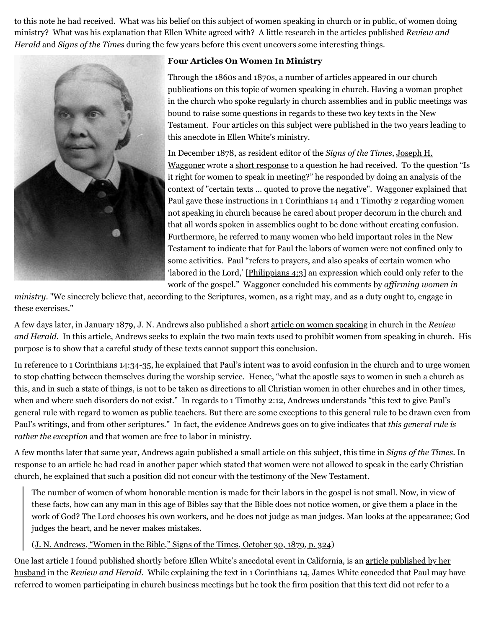to this note he had received. What was his belief on this subject of women speaking in church or in public, of women doing ministry? What was his explanation that Ellen White agreed with? A little research in the articles published *Review and Herald* and *Signs of the Times* during the few years before this event uncovers some interesting things.



#### **Four Articles On Women In Ministry**

Through the 1860s and 1870s, a number of articles appeared in our church publications on this topic of women speaking in church. Having a woman prophet in the church who spoke regularly in church assemblies and in public meetings was bound to raise some questions in regards to these two key texts in the New Testament. Four articles on this subject were published in the two years leading to this anecdote in Ellen White's ministry.

In December 1878, as resident editor of the *Signs of the Times*, Joseph H. [Waggoner wrote a short response to a question he had received. To the qu](http://web.archive.org/web/20120512062545/http://www.aplib.org/Gallery.htm#Joseph%20Harvey%20Waggoner)estion "Is it right for women to speak in meeting?" he responded by doing an analysis of the context of "certain texts … quoted to prove the negative". Waggoner explained that Paul gave these instructions in 1 Corinthians 14 and 1 Timothy 2 regarding women not speaking in church because he cared about proper decorum in the church and that all words spoken in assemblies ought to be done without creating confusion. Furthermore, he referred to many women who held important roles in the New Testament to indicate that for Paul the labors of women were not confined only to some activities. Paul "refers to prayers, and also speaks of certain women who 'labored in the Lord,' [\[Philippians 4:3](http://web.archive.org/web/20120512062545/http://www.biblestudytools.com/nkj/philippians/4-3.html)] an expression which could only refer to the work of the gospel." Waggoner concluded his comments by *affirming women in*

*ministry*. "We sincerely believe that, according to the Scriptures, women, as a right may, and as a duty ought to, engage in these exercises."

A few days later, in January 1879, J. N. Andrews also published a short [article on women speaking](http://web.archive.org/web/20120512062545/http://www.adventistarchives.org/doc_info.asp?DocID=89829) in church in the *Review and Herald*. In this article, Andrews seeks to explain the two main texts used to prohibit women from speaking in church. His purpose is to show that a careful study of these texts cannot support this conclusion.

In reference to 1 Corinthians 14:34-35, he explained that Paul's intent was to avoid confusion in the church and to urge women to stop chatting between themselves during the worship service. Hence, "what the apostle says to women in such a church as this, and in such a state of things, is not to be taken as directions to all Christian women in other churches and in other times, when and where such disorders do not exist." In regards to 1 Timothy 2:12, Andrews understands "this text to give Paul's general rule with regard to women as public teachers. But there are some exceptions to this general rule to be drawn even from Paul's writings, and from other scriptures." In fact, the evidence Andrews goes on to give indicates that *this general rule is rather the exception* and that women are free to labor in ministry.

A few months later that same year, Andrews again published a small article on this subject, this time in *Signs of the Times*. In response to an article he had read in another paper which stated that women were not allowed to speak in the early Christian church, he explained that such a position did not concur with the testimony of the New Testament.

The number of women of whom honorable mention is made for their labors in the gospel is not small. Now, in view of these facts, how can any man in this age of Bibles say that the Bible does not notice women, or give them a place in the work of God? The Lord chooses his own workers, and he does not judge as man judges. Man looks at the appearance; God judges the heart, and he never makes mistakes.

([J. N. Andrews, "Women in the Bible," Signs of the Times, October 30, 1879, p. 324](http://web.archive.org/web/20120512062545/http://www.adventistarchives.org/doc_info.asp?DocID=163731))

[One last article I found published shortly before Ellen White's anecdotal event in California, is an article published by her](http://web.archive.org/web/20120512062545/http://www.adventistarchives.org/doc_info.asp?DocID=89821) husband in the *Review and Herald*. While explaining the text in 1 Corinthians 14, James White conceded that Paul may have referred to women participating in church business meetings but he took the firm position that this text did not refer to a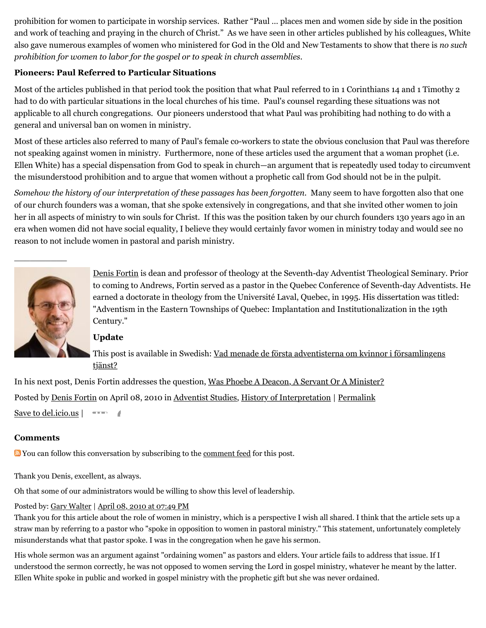prohibition for women to participate in worship services. Rather "Paul … places men and women side by side in the position and work of teaching and praying in the church of Christ." As we have seen in other articles published by his colleagues, White also gave numerous examples of women who ministered for God in the Old and New Testaments to show that there is *no such prohibition for women to labor for the gospel or to speak in church assemblies*.

## **Pioneers: Paul Referred to Particular Situations**

Most of the articles published in that period took the position that what Paul referred to in 1 Corinthians 14 and 1 Timothy 2 had to do with particular situations in the local churches of his time. Paul's counsel regarding these situations was not applicable to all church congregations. Our pioneers understood that what Paul was prohibiting had nothing to do with a general and universal ban on women in ministry.

Most of these articles also referred to many of Paul's female co-workers to state the obvious conclusion that Paul was therefore not speaking against women in ministry. Furthermore, none of these articles used the argument that a woman prophet (i.e. Ellen White) has a special dispensation from God to speak in church—an argument that is repeatedly used today to circumvent the misunderstood prohibition and to argue that women without a prophetic call from God should not be in the pulpit.

*Somehow the history of our interpretation of these passages has been forgotten.* Many seem to have forgotten also that one of our church founders was a woman, that she spoke extensively in congregations, and that she invited other women to join her in all aspects of ministry to win souls for Christ. If this was the position taken by our church founders 130 years ago in an era when women did not have social equality, I believe they would certainly favor women in ministry today and would see no reason to not include women in pastoral and parish ministry.



 $\overline{\phantom{a}}$ 

[Denis Fortin](http://web.archive.org/web/20120512062545/http://profile.typepad.com/dfortin) is dean and professor of theology at the Seventh-day Adventist Theological Seminary. Prior to coming to Andrews, Fortin served as a pastor in the Quebec Conference of Seventh-day Adventists. He earned a doctorate in theology from the Université Laval, Quebec, in 1995. His dissertation was titled: "Adventism in the Eastern Townships of Quebec: Implantation and Institutionalization in the 19th Century."

## **Update**

[This post is available in Swedish: Vad menade de första adventisterna om kvinnor i församlingens](http://web.archive.org/web/20120512062545/http://adventist.se/econtent/files/3947/de_f%C3%B6rsta_adventisterna_om_kvinnor_i_f%C3%B6rsamlingens_tjanst.pdf) tjänst?

In his next post, Denis Fortin addresses the question, [Was Phoebe A Deacon, A Servant Or A Minister?](http://web.archive.org/web/20120512062545/http://www.memorymeaningfaith.org/blog/2010/04/phoebe-deacon-servant-or-minister.html) Posted by [Denis Fortin](http://web.archive.org/web/20120512062545/http://profile.typepad.com/dfortin) on April 08, 2010 in [Adventist Studies,](http://web.archive.org/web/20120512062545/http://www.memorymeaningfaith.org/blog/adventist-studies/) [History of Interpretation](http://web.archive.org/web/20120512062545/http://www.memorymeaningfaith.org/blog/history-of-interpretation/) | [Permalink](http://web.archive.org/web/20120512062545/http://www.memorymeaningfaith.org/blog/2010/04/adventist-pioneers-women-ministry.html) [Save to del.icio.us](http://web.archive.org/web/20120512062545/http://del.icio.us/post) |

#### **Comments**

Youcan follow this conversation by subscribing to the <u>comment feed</u> for this post.

Thank you Denis, excellent, as always.

Oh that some of our administrators would be willing to show this level of leadership.

## Posted by: [Gary Walter](http://web.archive.org/web/20120512062545/http://profile.typepad.com/garywalter) | [April 08, 2010 at 07:49 PM](http://web.archive.org/web/20120512062545/http://www.memorymeaningfaith.org/blog/2010/04/adventist-pioneers-women-ministry.html?cid=6a01287656f488970c0133ec8e7555970b#comment-6a01287656f488970c0133ec8e7555970b)

Thank you for this article about the role of women in ministry, which is a perspective I wish all shared. I think that the article sets up a straw man by referring to a pastor who "spoke in opposition to women in pastoral ministry." This statement, unfortunately completely misunderstands what that pastor spoke. I was in the congregation when he gave his sermon.

His whole sermon was an argument against "ordaining women" as pastors and elders. Your article fails to address that issue. If I understood the sermon correctly, he was not opposed to women serving the Lord in gospel ministry, whatever he meant by the latter. Ellen White spoke in public and worked in gospel ministry with the prophetic gift but she was never ordained.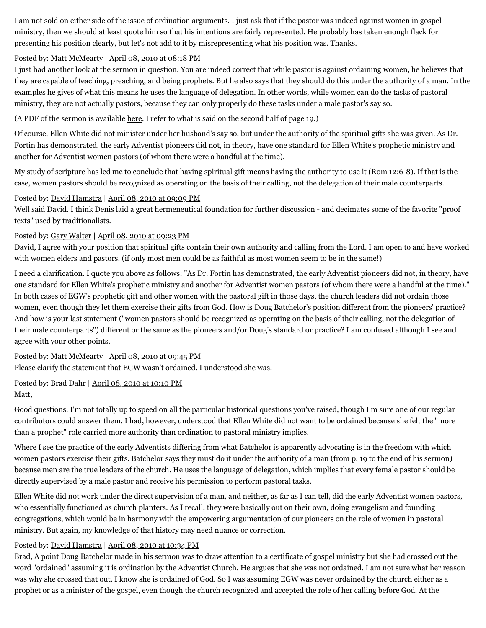I am not sold on either side of the issue of ordination arguments. I just ask that if the pastor was indeed against women in gospel ministry, then we should at least quote him so that his intentions are fairly represented. He probably has taken enough flack for presenting his position clearly, but let's not add to it by misrepresenting what his position was. Thanks.

#### Posted by: Matt McMearty | [April 08, 2010 at 08:18 PM](http://web.archive.org/web/20120512062545/http://www.memorymeaningfaith.org/blog/2010/04/adventist-pioneers-women-ministry.html?cid=6a01287656f488970c0133ec8e9861970b#comment-6a01287656f488970c0133ec8e9861970b)

I just had another look at the sermon in question. You are indeed correct that while pastor is against ordaining women, he believes that they are capable of teaching, preaching, and being prophets. But he also says that they should do this under the authority of a man. In the examples he gives of what this means he uses the language of delegation. In other words, while women can do the tasks of pastoral ministry, they are not actually pastors, because they can only properly do these tasks under a male pastor's say so.

(A PDF of the sermon is available [here.](http://web.archive.org/web/20120512062545/http://www.atoday.com/content/doug-batchelor-preaches-against-women-pastors) I refer to what is said on the second half of page 19.)

Of course, Ellen White did not minister under her husband's say so, but under the authority of the spiritual gifts she was given. As Dr. Fortin has demonstrated, the early Adventist pioneers did not, in theory, have one standard for Ellen White's prophetic ministry and another for Adventist women pastors (of whom there were a handful at the time).

My study of scripture has led me to conclude that having spiritual gift means having the authority to use it (Rom 12:6-8). If that is the case, women pastors should be recognized as operating on the basis of their calling, not the delegation of their male counterparts.

#### Posted by: [David Hamstra](http://web.archive.org/web/20120512062545/http://profile.typepad.com/davidhamstra) | [April 08, 2010 at 09:09 PM](http://web.archive.org/web/20120512062545/http://www.memorymeaningfaith.org/blog/2010/04/adventist-pioneers-women-ministry.html?cid=6a01287656f488970c0133ec8ee38c970b#comment-6a01287656f488970c0133ec8ee38c970b)

Well said David. I think Denis laid a great hermeneutical foundation for further discussion - and decimates some of the favorite "proof texts" used by traditionalists.

#### Posted by: [Gary Walter](http://web.archive.org/web/20120512062545/http://profile.typepad.com/waltergary) | [April 08, 2010 at 09:23 PM](http://web.archive.org/web/20120512062545/http://www.memorymeaningfaith.org/blog/2010/04/adventist-pioneers-women-ministry.html?cid=6a01287656f488970c01347fbef743970c#comment-6a01287656f488970c01347fbef743970c)

David, I agree with your position that spiritual gifts contain their own authority and calling from the Lord. I am open to and have worked with women elders and pastors. (if only most men could be as faithful as most women seem to be in the same!)

I need a clarification. I quote you above as follows: "As Dr. Fortin has demonstrated, the early Adventist pioneers did not, in theory, have one standard for Ellen White's prophetic ministry and another for Adventist women pastors (of whom there were a handful at the time)." In both cases of EGW's prophetic gift and other women with the pastoral gift in those days, the church leaders did not ordain those women, even though they let them exercise their gifts from God. How is Doug Batchelor's position different from the pioneers' practice? And how is your last statement ("women pastors should be recognized as operating on the basis of their calling, not the delegation of their male counterparts") different or the same as the pioneers and/or Doug's standard or practice? I am confused although I see and agree with your other points.

Posted by: Matt McMearty | [April 08, 2010 at 09:45 PM](http://web.archive.org/web/20120512062545/http://www.memorymeaningfaith.org/blog/2010/04/adventist-pioneers-women-ministry.html?cid=6a01287656f488970c01347fbf12fd970c#comment-6a01287656f488970c01347fbf12fd970c)

Please clarify the statement that EGW wasn't ordained. I understood she was.

Posted by: Brad Dahr | [April 08, 2010 at 10:10 PM](http://web.archive.org/web/20120512062545/http://www.memorymeaningfaith.org/blog/2010/04/adventist-pioneers-women-ministry.html?cid=6a01287656f488970c0133ec8f37ab970b#comment-6a01287656f488970c0133ec8f37ab970b) Matt,

Good questions. I'm not totally up to speed on all the particular historical questions you've raised, though I'm sure one of our regular contributors could answer them. I had, however, understood that Ellen White did not want to be ordained because she felt the "more than a prophet" role carried more authority than ordination to pastoral ministry implies.

Where I see the practice of the early Adventists differing from what Batchelor is apparently advocating is in the freedom with which women pastors exercise their gifts. Batchelor says they must do it under the authority of a man (from p. 19 to the end of his sermon) because men are the true leaders of the church. He uses the language of delegation, which implies that every female pastor should be directly supervised by a male pastor and receive his permission to perform pastoral tasks.

Ellen White did not work under the direct supervision of a man, and neither, as far as I can tell, did the early Adventist women pastors, who essentially functioned as church planters. As I recall, they were basically out on their own, doing evangelism and founding congregations, which would be in harmony with the empowering argumentation of our pioneers on the role of women in pastoral ministry. But again, my knowledge of that history may need nuance or correction.

#### Posted by: [David Hamstra](http://web.archive.org/web/20120512062545/http://profile.typepad.com/davidhamstra) | [April 08, 2010 at 10:34 PM](http://web.archive.org/web/20120512062545/http://www.memorymeaningfaith.org/blog/2010/04/adventist-pioneers-women-ministry.html?cid=6a01287656f488970c01347fbf55c4970c#comment-6a01287656f488970c01347fbf55c4970c)

Brad, A point Doug Batchelor made in his sermon was to draw attention to a certificate of gospel ministry but she had crossed out the word "ordained" assuming it is ordination by the Adventist Church. He argues that she was not ordained. I am not sure what her reason was why she crossed that out. I know she is ordained of God. So I was assuming EGW was never ordained by the church either as a prophet or as a minister of the gospel, even though the church recognized and accepted the role of her calling before God. At the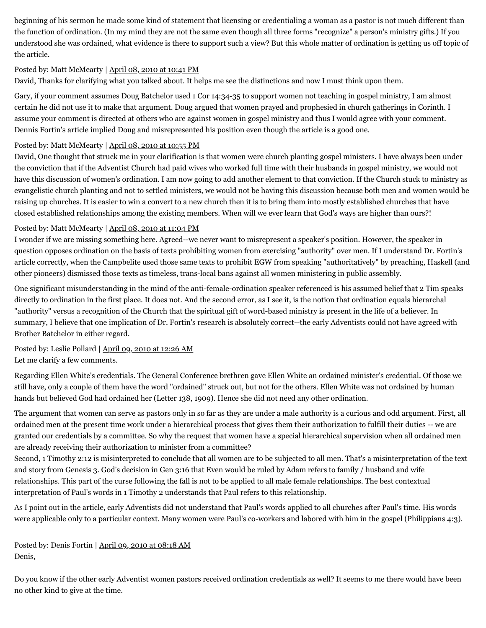beginning of his sermon he made some kind of statement that licensing or credentialing a woman as a pastor is not much different than the function of ordination. (In my mind they are not the same even though all three forms "recognize" a person's ministry gifts.) If you understood she was ordained, what evidence is there to support such a view? But this whole matter of ordination is getting us off topic of the article.

#### Posted by: Matt McMearty | [April 08, 2010 at 10:41 PM](http://web.archive.org/web/20120512062545/http://www.memorymeaningfaith.org/blog/2010/04/adventist-pioneers-women-ministry.html?cid=6a01287656f488970c0133ec8f5ee6970b#comment-6a01287656f488970c0133ec8f5ee6970b)

David, Thanks for clarifying what you talked about. It helps me see the distinctions and now I must think upon them.

Gary, if your comment assumes Doug Batchelor used 1 Cor 14:34-35 to support women not teaching in gospel ministry, I am almost certain he did not use it to make that argument. Doug argued that women prayed and prophesied in church gatherings in Corinth. I assume your comment is directed at others who are against women in gospel ministry and thus I would agree with your comment. Dennis Fortin's article implied Doug and misrepresented his position even though the article is a good one.

## Posted by: Matt McMearty | [April 08, 2010 at 10:55 PM](http://web.archive.org/web/20120512062545/http://www.memorymeaningfaith.org/blog/2010/04/adventist-pioneers-women-ministry.html?cid=6a01287656f488970c01347fbf7047970c#comment-6a01287656f488970c01347fbf7047970c)

David, One thought that struck me in your clarification is that women were church planting gospel ministers. I have always been under the conviction that if the Adventist Church had paid wives who worked full time with their husbands in gospel ministry, we would not have this discussion of women's ordination. I am now going to add another element to that conviction. If the Church stuck to ministry as evangelistic church planting and not to settled ministers, we would not be having this discussion because both men and women would be raising up churches. It is easier to win a convert to a new church then it is to bring them into mostly established churches that have closed established relationships among the existing members. When will we ever learn that God's ways are higher than ours?!

## Posted by: Matt McMearty | [April 08, 2010 at 11:04 PM](http://web.archive.org/web/20120512062545/http://www.memorymeaningfaith.org/blog/2010/04/adventist-pioneers-women-ministry.html?cid=6a01287656f488970c01347fbf7cb6970c#comment-6a01287656f488970c01347fbf7cb6970c)

I wonder if we are missing something here. Agreed--we never want to misrepresent a speaker's position. However, the speaker in question opposes ordination on the basis of texts prohibiting women from exercising "authority" over men. If I understand Dr. Fortin's article correctly, when the Campbelite used those same texts to prohibit EGW from speaking "authoritatively" by preaching, Haskell (and other pioneers) dismissed those texts as timeless, trans-local bans against all women ministering in public assembly.

One significant misunderstanding in the mind of the anti-female-ordination speaker referenced is his assumed belief that 2 Tim speaks directly to ordination in the first place. It does not. And the second error, as I see it, is the notion that ordination equals hierarchal "authority" versus a recognition of the Church that the spiritual gift of word-based ministry is present in the life of a believer. In summary, I believe that one implication of Dr. Fortin's research is absolutely correct--the early Adventists could not have agreed with Brother Batchelor in either regard.

Posted by: Leslie Pollard | [April 09, 2010 at 12:26 AM](http://web.archive.org/web/20120512062545/http://www.memorymeaningfaith.org/blog/2010/04/adventist-pioneers-women-ministry.html?cid=6a01287656f488970c01347fbfdaab970c#comment-6a01287656f488970c01347fbfdaab970c) Let me clarify a few comments.

Regarding Ellen White's credentials. The General Conference brethren gave Ellen White an ordained minister's credential. Of those we still have, only a couple of them have the word "ordained" struck out, but not for the others. Ellen White was not ordained by human hands but believed God had ordained her (Letter 138, 1909). Hence she did not need any other ordination.

The argument that women can serve as pastors only in so far as they are under a male authority is a curious and odd argument. First, all ordained men at the present time work under a hierarchical process that gives them their authorization to fulfill their duties -- we are granted our credentials by a committee. So why the request that women have a special hierarchical supervision when all ordained men are already receiving their authorization to minister from a committee?

Second, 1 Timothy 2:12 is misinterpreted to conclude that all women are to be subjected to all men. That's a misinterpretation of the text and story from Genesis 3. God's decision in Gen 3:16 that Even would be ruled by Adam refers to family / husband and wife relationships. This part of the curse following the fall is not to be applied to all male female relationships. The best contextual interpretation of Paul's words in 1 Timothy 2 understands that Paul refers to this relationship.

As I point out in the article, early Adventists did not understand that Paul's words applied to all churches after Paul's time. His words were applicable only to a particular context. Many women were Paul's co-workers and labored with him in the gospel (Philippians 4:3).

Posted by: Denis Fortin | [April 09, 2010 at 08:18 AM](http://web.archive.org/web/20120512062545/http://www.memorymeaningfaith.org/blog/2010/04/adventist-pioneers-women-ministry.html?cid=6a01287656f488970c0133ec9174d8970b#comment-6a01287656f488970c0133ec9174d8970b) Denis,

Do you know if the other early Adventist women pastors received ordination credentials as well? It seems to me there would have been no other kind to give at the time.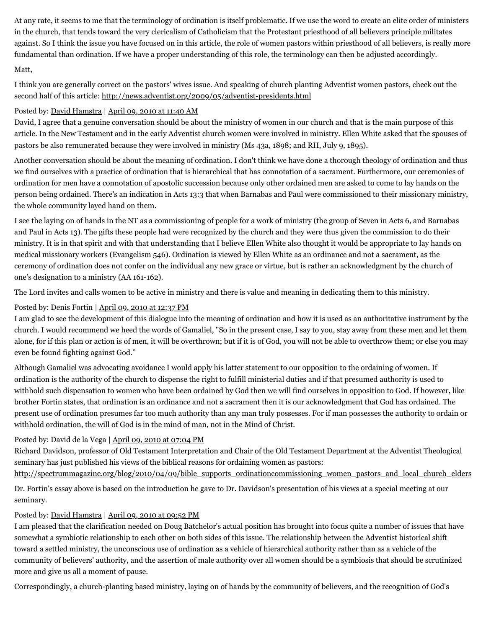At any rate, it seems to me that the terminology of ordination is itself problematic. If we use the word to create an elite order of ministers in the church, that tends toward the very clericalism of Catholicism that the Protestant priesthood of all believers principle militates against. So I think the issue you have focused on in this article, the role of women pastors within priesthood of all believers, is really more fundamental than ordination. If we have a proper understanding of this role, the terminology can then be adjusted accordingly.

#### Matt,

I think you are generally correct on the pastors' wives issue. And speaking of church planting Adventist women pastors, check out the second half of this article: [http://news.adventist.org/2009/05/adventist-presidents.html](http://web.archive.org/web/20120512062545/http://news.adventist.org/2009/05/adventist-presidents.html)

#### Posted by: [David Hamstra](http://web.archive.org/web/20120512062545/http://profile.typepad.com/davidhamstra) | [April 09, 2010 at 11:40 AM](http://web.archive.org/web/20120512062545/http://www.memorymeaningfaith.org/blog/2010/04/adventist-pioneers-women-ministry.html?cid=6a01287656f488970c0133ec92532a970b#comment-6a01287656f488970c0133ec92532a970b)

David, I agree that a genuine conversation should be about the ministry of women in our church and that is the main purpose of this article. In the New Testament and in the early Adventist church women were involved in ministry. Ellen White asked that the spouses of pastors be also remunerated because they were involved in ministry (Ms 43a, 1898; and RH, July 9, 1895).

Another conversation should be about the meaning of ordination. I don't think we have done a thorough theology of ordination and thus we find ourselves with a practice of ordination that is hierarchical that has connotation of a sacrament. Furthermore, our ceremonies of ordination for men have a connotation of apostolic succession because only other ordained men are asked to come to lay hands on the person being ordained. There's an indication in Acts 13:3 that when Barnabas and Paul were commissioned to their missionary ministry, the whole community layed hand on them.

I see the laying on of hands in the NT as a commissioning of people for a work of ministry (the group of Seven in Acts 6, and Barnabas and Paul in Acts 13). The gifts these people had were recognized by the church and they were thus given the commission to do their ministry. It is in that spirit and with that understanding that I believe Ellen White also thought it would be appropriate to lay hands on medical missionary workers (Evangelism 546). Ordination is viewed by Ellen White as an ordinance and not a sacrament, as the ceremony of ordination does not confer on the individual any new grace or virtue, but is rather an acknowledgment by the church of one's designation to a ministry (AA 161-162).

The Lord invites and calls women to be active in ministry and there is value and meaning in dedicating them to this ministry.

#### Posted by: Denis Fortin | [April 09, 2010 at 12:37 PM](http://web.archive.org/web/20120512062545/http://www.memorymeaningfaith.org/blog/2010/04/adventist-pioneers-women-ministry.html?cid=6a01287656f488970c0133ec929d23970b#comment-6a01287656f488970c0133ec929d23970b)

I am glad to see the development of this dialogue into the meaning of ordination and how it is used as an authoritative instrument by the church. I would recommend we heed the words of Gamaliel, "So in the present case, I say to you, stay away from these men and let them alone, for if this plan or action is of men, it will be overthrown; but if it is of God, you will not be able to overthrow them; or else you may even be found fighting against God."

Although Gamaliel was advocating avoidance I would apply his latter statement to our opposition to the ordaining of women. If ordination is the authority of the church to dispense the right to fulfill ministerial duties and if that presumed authority is used to withhold such dispensation to women who have been ordained by God then we will find ourselves in opposition to God. If however, like brother Fortin states, that ordination is an ordinance and not a sacrament then it is our acknowledgment that God has ordained. The present use of ordination presumes far too much authority than any man truly possesses. For if man possesses the authority to ordain or withhold ordination, the will of God is in the mind of man, not in the Mind of Christ.

#### Posted by: David de la Vega | [April 09, 2010 at 07:04 PM](http://web.archive.org/web/20120512062545/http://www.memorymeaningfaith.org/blog/2010/04/adventist-pioneers-women-ministry.html?cid=6a01287656f488970c0133ec94502a970b#comment-6a01287656f488970c0133ec94502a970b)

Richard Davidson, professor of Old Testament Interpretation and Chair of the Old Testament Department at the Adventist Theological seminary has just published his views of the biblical reasons for ordaining women as pastors:

[http://spectrummagazine.org/blog/2010/04/09/bible\\_supports\\_ordinationcommissioning\\_women\\_pastors\\_and\\_local\\_church\\_elders](http://web.archive.org/web/20120512062545/http://spectrummagazine.org/blog/2010/04/09/bible_supports_ordinationcommissioning_women_pastors_and_local_church_elders) Dr. Fortin's essay above is based on the introduction he gave to Dr. Davidson's presentation of his views at a special meeting at our seminary.

## Posted by: [David Hamstra](http://web.archive.org/web/20120512062545/http://profile.typepad.com/davidhamstra) | [April 09, 2010 at 09:52 PM](http://web.archive.org/web/20120512062545/http://www.memorymeaningfaith.org/blog/2010/04/adventist-pioneers-women-ministry.html?cid=6a01287656f488970c0133ec94f715970b#comment-6a01287656f488970c0133ec94f715970b)

I am pleased that the clarification needed on Doug Batchelor's actual position has brought into focus quite a number of issues that have somewhat a symbiotic relationship to each other on both sides of this issue. The relationship between the Adventist historical shift toward a settled ministry, the unconscious use of ordination as a vehicle of hierarchical authority rather than as a vehicle of the community of believers' authority, and the assertion of male authority over all women should be a symbiosis that should be scrutinized more and give us all a moment of pause.

Correspondingly, a church-planting based ministry, laying on of hands by the community of believers, and the recognition of God's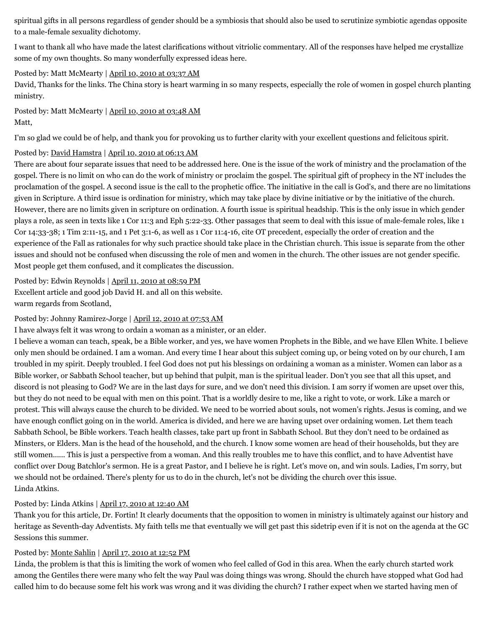spiritual gifts in all persons regardless of gender should be a symbiosis that should also be used to scrutinize symbiotic agendas opposite to a male-female sexuality dichotomy.

I want to thank all who have made the latest clarifications without vitriolic commentary. All of the responses have helped me crystallize some of my own thoughts. So many wonderfully expressed ideas here.

#### Posted by: Matt McMearty | [April 10, 2010 at 03:37 AM](http://web.archive.org/web/20120512062545/http://www.memorymeaningfaith.org/blog/2010/04/adventist-pioneers-women-ministry.html?cid=6a01287656f488970c0133ec96149e970b#comment-6a01287656f488970c0133ec96149e970b)

David, Thanks for the links. The China story is heart warming in so many respects, especially the role of women in gospel church planting ministry.

Posted by: Matt McMearty | [April 10, 2010 at 03:48 AM](http://web.archive.org/web/20120512062545/http://www.memorymeaningfaith.org/blog/2010/04/adventist-pioneers-women-ministry.html?cid=6a01287656f488970c0133ec961992970b#comment-6a01287656f488970c0133ec961992970b) Matt,

I'm so glad we could be of help, and thank you for provoking us to further clarity with your excellent questions and felicitous spirit.

#### Posted by: [David Hamstra](http://web.archive.org/web/20120512062545/http://profile.typepad.com/davidhamstra) | [April 10, 2010 at 06:13 AM](http://web.archive.org/web/20120512062545/http://www.memorymeaningfaith.org/blog/2010/04/adventist-pioneers-women-ministry.html?cid=6a01287656f488970c01347fc67421970c#comment-6a01287656f488970c01347fc67421970c)

There are about four separate issues that need to be addressed here. One is the issue of the work of ministry and the proclamation of the gospel. There is no limit on who can do the work of ministry or proclaim the gospel. The spiritual gift of prophecy in the NT includes the proclamation of the gospel. A second issue is the call to the prophetic office. The initiative in the call is God's, and there are no limitations given in Scripture. A third issue is ordination for ministry, which may take place by divine initiative or by the initiative of the church. However, there are no limits given in scripture on ordination. A fourth issue is spiritual headship. This is the only issue in which gender plays a role, as seen in texts like 1 Cor 11:3 and Eph 5:22-33. Other passages that seem to deal with this issue of male-female roles, like 1 Cor 14:33-38; 1 Tim 2:11-15, and 1 Pet 3:1-6, as well as 1 Cor 11:4-16, cite OT precedent, especially the order of creation and the experience of the Fall as rationales for why such practice should take place in the Christian church. This issue is separate from the other issues and should not be confused when discussing the role of men and women in the church. The other issues are not gender specific. Most people get them confused, and it complicates the discussion.

#### Posted by: Edwin Reynolds | [April 11, 2010 at 08:59 PM](http://web.archive.org/web/20120512062545/http://www.memorymeaningfaith.org/blog/2010/04/adventist-pioneers-women-ministry.html?cid=6a01287656f488970c0133ec9ed25a970b#comment-6a01287656f488970c0133ec9ed25a970b) Excellent article and good job David H. and all on this website. warm regards from Scotland,

#### Posted by: Johnny Ramirez-Jorge | [April 12, 2010 at 07:53 AM](http://web.archive.org/web/20120512062545/http://www.memorymeaningfaith.org/blog/2010/04/adventist-pioneers-women-ministry.html?cid=6a01287656f488970c01347fd13314970c#comment-6a01287656f488970c01347fd13314970c)

I have always felt it was wrong to ordain a woman as a minister, or an elder.

I believe a woman can teach, speak, be a Bible worker, and yes, we have women Prophets in the Bible, and we have Ellen White. I believe only men should be ordained. I am a woman. And every time I hear about this subject coming up, or being voted on by our church, I am troubled in my spirit. Deeply troubled. I feel God does not put his blessings on ordaining a woman as a minister. Women can labor as a Bible worker, or Sabbath School teacher, but up behind that pulpit, man is the spiritual leader. Don't you see that all this upset, and discord is not pleasing to God? We are in the last days for sure, and we don't need this division. I am sorry if women are upset over this, but they do not need to be equal with men on this point. That is a worldly desire to me, like a right to vote, or work. Like a march or protest. This will always cause the church to be divided. We need to be worried about souls, not women's rights. Jesus is coming, and we have enough conflict going on in the world. America is divided, and here we are having upset over ordaining women. Let them teach Sabbath School, be Bible workers. Teach health classes, take part up front in Sabbath School. But they don't need to be ordained as Minsters, or Elders. Man is the head of the household, and the church. I know some women are head of their households, but they are still women...... This is just a perspective from a woman. And this really troubles me to have this conflict, and to have Adventist have conflict over Doug Batchlor's sermon. He is a great Pastor, and I believe he is right. Let's move on, and win souls. Ladies, I'm sorry, but we should not be ordained. There's plenty for us to do in the church, let's not be dividing the church over this issue. Linda Atkins.

#### Posted by: Linda Atkins | [April 17, 2010 at 12:40 AM](http://web.archive.org/web/20120512062545/http://www.memorymeaningfaith.org/blog/2010/04/adventist-pioneers-women-ministry.html?cid=6a01287656f488970c0133ecbecafb970b#comment-6a01287656f488970c0133ecbecafb970b)

Thank you for this article, Dr. Fortin! It clearly documents that the opposition to women in ministry is ultimately against our history and heritage as Seventh-day Adventists. My faith tells me that eventually we will get past this sidetrip even if it is not on the agenda at the GC Sessions this summer.

#### Posted by: [Monte Sahlin](http://web.archive.org/web/20120512062545/http://www.montesahlin.com/) | [April 17, 2010 at 12:52 PM](http://web.archive.org/web/20120512062545/http://www.memorymeaningfaith.org/blog/2010/04/adventist-pioneers-women-ministry.html?cid=6a01287656f488970c0133ecc10df0970b#comment-6a01287656f488970c0133ecc10df0970b)

Linda, the problem is that this is limiting the work of women who feel called of God in this area. When the early church started work among the Gentiles there were many who felt the way Paul was doing things was wrong. Should the church have stopped what God had called him to do because some felt his work was wrong and it was dividing the church? I rather expect when we started having men of